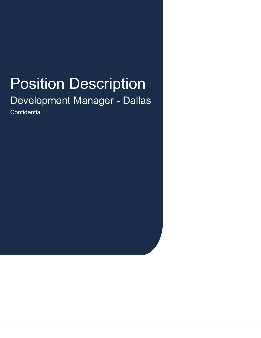# Position Description

Development Manager - Dallas **Confidential**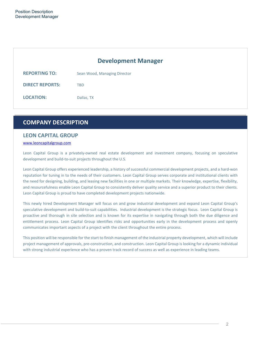## **Development Manager**

| <b>REPORTING TO:</b>   | Sean Wood, Managing Director |
|------------------------|------------------------------|
| <b>DIRECT REPORTS:</b> | TRD                          |
| <b>LOCATION:</b>       | Dallas, TX                   |

## **COMPANY DESCRIPTION**

### **LEON CAPITAL GROUP**

#### www.leoncapitalgroup.com

Leon Capital Group is a privately-owned real estate development and investment company, focusing on speculative development and build-to-suit projects throughout the U.S.

Leon Capital Group offers experienced leadership, a history of successful commercial development projects, and a hard-won reputation for tuning in to the needs of their customers. Leon Capital Group serves corporate and institutional clients with the need for designing, building, and leasing new facilities in one or multiple markets. Their knowledge, expertise, flexibility, and resourcefulness enable Leon Capital Group to consistently deliver quality service and a superior product to their clients. Leon Capital Group is proud to have completed development projects nationwide.

This newly hired Development Manager will focus on and grow industrial development and expand Leon Capital Group's speculative development and build-to-suit capabilities. Industrial development is the strategic focus. Leon Capital Group is proactive and thorough in site selection and is known for its expertise in navigating through both the due diligence and entitlement process. Leon Capital Group identifies risks and opportunities early in the development process and openly communicates important aspects of a project with the client throughout the entire process.

This position will be responsible for the start to finish management of the industrial property development, which will include project management of approvals, pre-construction, and construction. Leon Capital Group is looking for a dynamic individual with strong industrial experience who has a proven track record of success as well as experience in leading teams.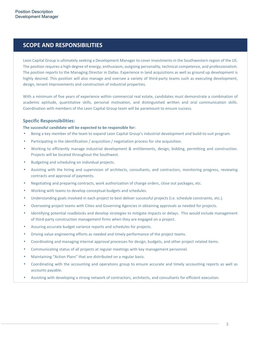## **SCOPE AND RESPONSIBILITIES**

Leon Capital Group is ultimately seeking a Development Manager to cover investments in the Southwestern region of the US. The position requires a high degree of energy, enthusiasm, outgoing personality, technical competence, and professionalism. The position reports to the Managing Director in Dallas. Experience in land acquisitions as well as ground up development is highly desired. This position will also manage and oversee a variety of third-party teams such as executing development, design, tenant improvements and construction of industrial properties.

With a minimum of five years of experience within commercial real estate, candidates must demonstrate a combination of academic aptitude, quantitative skills, personal motivation, and distinguished written and oral communication skills. Coordination with members of the Leon Capital Group team will be paramount to ensure success.

#### **Specific Responsibilities:**

#### **The successful candidate will be expected to be responsible for:**

- Being a key member of the team to expand Leon Capital Group's industrial development and build-to-suit program.
- Participating in the identification / acquisition / negotiation process for site acquisition.
- Working to efficiently manage industrial development & entitlements, design, bidding, permitting and construction. Projects will be located throughout the Southwest.
- Budgeting and scheduling on individual projects.
- Assisting with the hiring and supervision of architects, consultants, and contractors, monitoring progress, reviewing contracts and approval of payments.
- Negotiating and preparing contracts, work authorization of change orders, close out packages, etc.
- Working with teams to develop conceptual budgets and schedules.
- Understanding goals involved in each project to best deliver successful projects (i.e. schedule constraints, etc.).
- Overseeing project teams with Cities and Governing Agencies in obtaining approvals as needed for projects.
- Identifying potential roadblocks and develop strategies to mitigate impacts or delays. This would include management of third-party construction management firms when they are engaged on a project.
- Assuring accurate budget variance reports and schedules for projects.
- Driving value engineering efforts as needed and timely performance of the project teams.
- Coordinating and managing internal approval processes for design, budgets, and other project related items.
- Communicating status of all projects at regular meetings with key management personnel.
- Maintaining "Action Plans" that are distributed on a regular basis.
- Coordinating with the accounting and operations group to ensure accurate and timely accounting reports as well as accounts payable.
- Assisting with developing a strong network of contractors, architects, and consultants for efficient execution.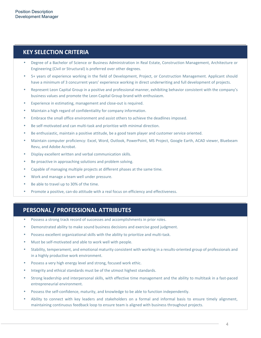## **KEY SELECTION CRITERIA**

- Degree of a Bachelor of Science or Business Administration in Real Estate, Construction Management, Architecture or Engineering (Civil or Structural) is preferred over other degrees.
- 5+ years of experience working in the field of Development, Project, or Construction Management. Applicant should have a minimum of 3 concurrent years' experience working in direct underwriting and full development of projects.
- Represent Leon Capital Group in a positive and professional manner, exhibiting behavior consistent with the company's business values and promote the Leon Capital Group brand with enthusiasm.
- Experience in estimating, management and close-out is required.
- Maintain a high regard of confidentiality for company information.
- Embrace the small office environment and assist others to achieve the deadlines imposed.
- Be self-motivated and can multi-task and prioritize with minimal direction.
- Be enthusiastic, maintain a positive attitude, be a good team player and customer service oriented.
- Maintain computer proficiency: Excel, Word, Outlook, PowerPoint, MS Project, Google Earth, ACAD viewer, Bluebeam Revu, and Adobe Acrobat.
- Display excellent written and verbal communication skills.
- Be proactive in approaching solutions and problem solving.
- Capable of managing multiple projects at different phases at the same time.
- Work and manage a team well under pressure.
- Be able to travel up to 30% of the time.
- Promote a positive, can-do attitude with a real focus on efficiency and effectiveness.

## **PERSONAL / PROFESSIONAL ATTRIBUTES**

- Possess a strong track record of successes and accomplishments in prior roles.
- Demonstrated ability to make sound business decisions and exercise good judgment.
- Possess excellent organizational skills with the ability to prioritize and multi-task.
- Must be self-motivated and able to work well with people.
- Stability, temperament, and emotional maturity consistent with working in a results-oriented group of professionals and in a highly productive work environment.
- Possess a very high energy level and strong, focused work ethic.
- Integrity and ethical standards must be of the utmost highest standards.
- Strong leadership and interpersonal skills, with effective time management and the ability to multitask in a fast-paced entrepreneurial environment.
- Possess the self-confidence, maturity, and knowledge to be able to function independently.
- Ability to connect with key leaders and stakeholders on a formal and informal basis to ensure timely alignment, maintaining continuous feedback loop to ensure team is aligned with business throughout projects.